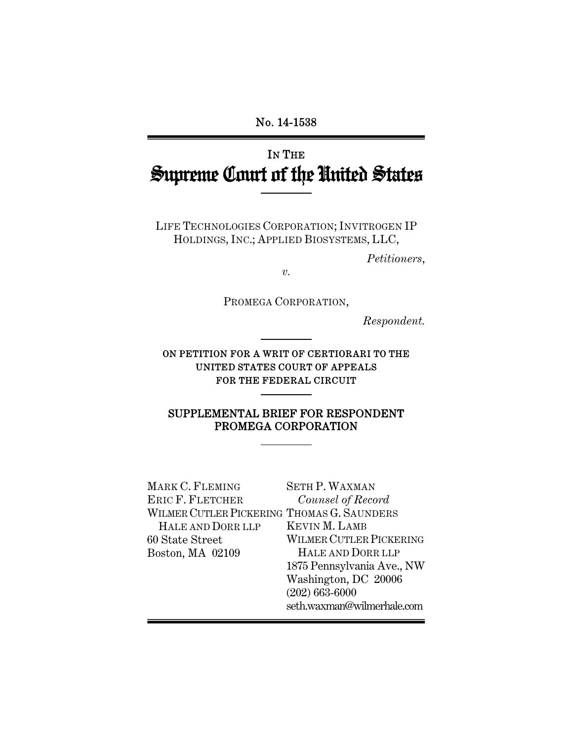### No. 14-1538

# IN THE Supreme Court of the United States

LIFE TECHNOLOGIES CORPORATION; INVITROGEN IP HOLDINGS, INC.; APPLIED BIOSYSTEMS, LLC,

*Petitioners*,

*v.* 

PROMEGA CORPORATION,

*Respondent.* 

ON PETITION FOR A WRIT OF CERTIORARI TO THE UNITED STATES COURT OF APPEALS FOR THE FEDERAL CIRCUIT

### SUPPLEMENTAL BRIEF FOR RESPONDENT PROMEGA CORPORATION

| MARK C. FLEMING                            | <b>SETH P. WAXMAN</b>          |
|--------------------------------------------|--------------------------------|
| ERIC F. FLETCHER                           | Counsel of Record              |
| WILMER CUTLER PICKERING THOMAS G. SAUNDERS |                                |
| HALE AND DORR LLP                          | <b>KEVIN M. LAMB</b>           |
| 60 State Street                            | <b>WILMER CUTLER PICKERING</b> |
| Boston, MA 02109                           | HALE AND DORR LLP              |
|                                            | 1875 Pennsylvania Ave., NW     |
|                                            | Washington, DC 20006           |
|                                            | $(202) 663 - 6000$             |
|                                            | seth.waxman@wilmerhale.com     |
|                                            |                                |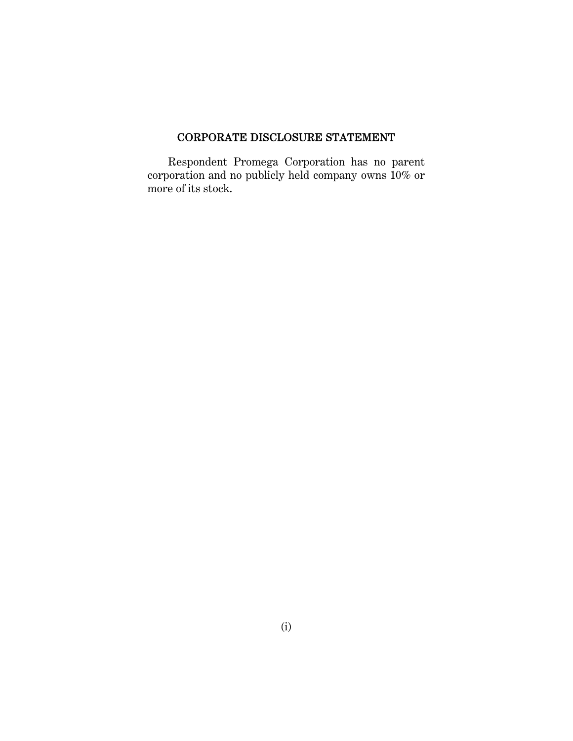### CORPORATE DISCLOSURE STATEMENT

Respondent Promega Corporation has no parent corporation and no publicly held company owns 10% or more of its stock.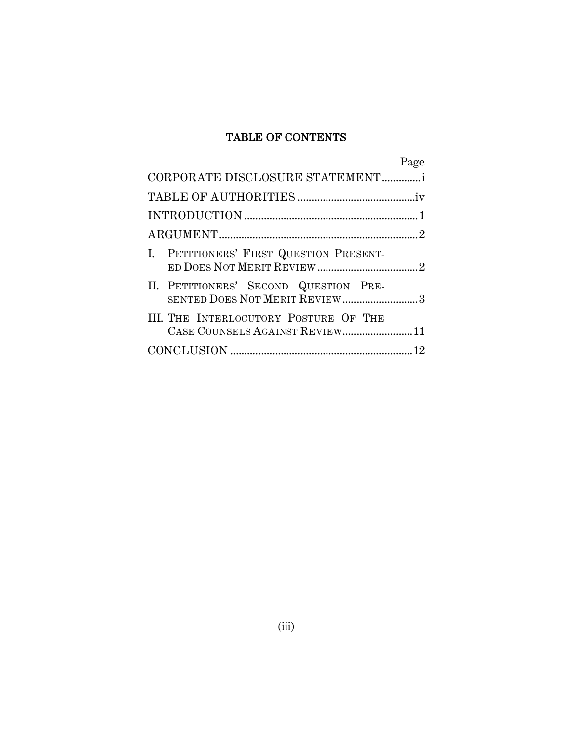### TABLE OF CONTENTS

|                                                                         | Page |
|-------------------------------------------------------------------------|------|
| CORPORATE DISCLOSURE STATEMENTi                                         |      |
|                                                                         |      |
|                                                                         |      |
|                                                                         |      |
| I. PETITIONERS' FIRST QUESTION PRESENT-                                 |      |
| II. PETITIONERS' SECOND QUESTION PRE-<br>SENTED DOES NOT MERIT REVIEW3  |      |
| III. THE INTERLOCUTORY POSTURE OF THE<br>CASE COUNSELS AGAINST REVIEW11 |      |
|                                                                         |      |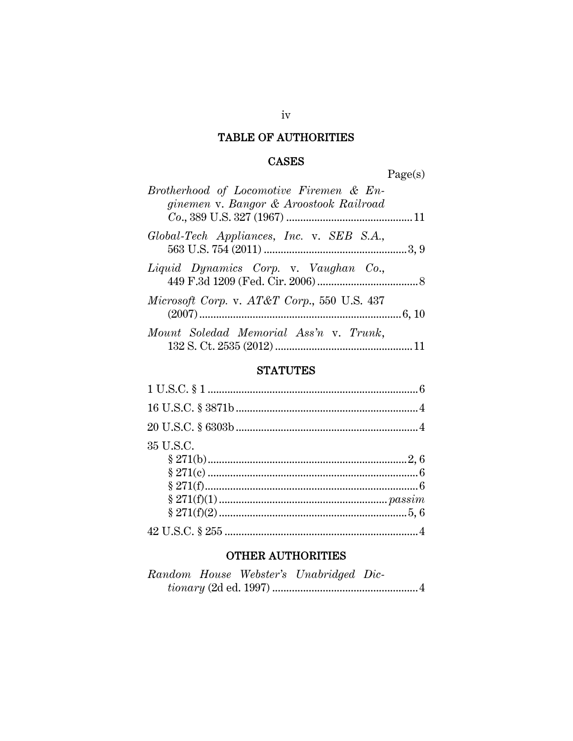## TABLE OF AUTHORITIES

### **CASES**

Page(s)

| Brotherhood of Locomotive Firemen & En-     |  |
|---------------------------------------------|--|
| ginemen v. Bangor & Aroostook Railroad      |  |
| Global-Tech Appliances, Inc. v. SEB S.A.,   |  |
| Liquid Dynamics Corp. v. Vaughan Co.,       |  |
| Microsoft Corp. v. AT&T Corp., 550 U.S. 437 |  |
| Mount Soledad Memorial Ass'n v. Trunk,      |  |

### **STATUTES**

| 35 U.S.C. |  |
|-----------|--|
|           |  |
|           |  |
|           |  |
|           |  |
|           |  |
|           |  |

### **OTHER AUTHORITIES**

|  | Random House Webster's Unabridged Dic- |  |
|--|----------------------------------------|--|
|  |                                        |  |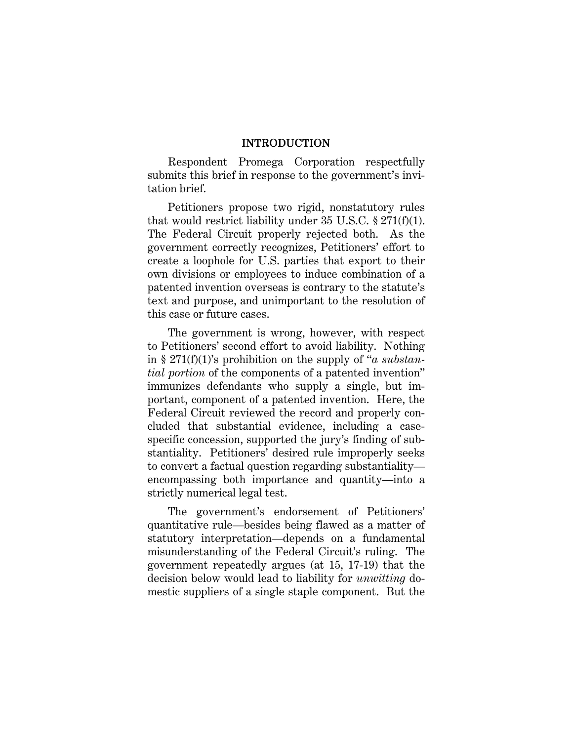#### INTRODUCTION

Respondent Promega Corporation respectfully submits this brief in response to the government's invitation brief.

Petitioners propose two rigid, nonstatutory rules that would restrict liability under 35 U.S.C.  $\S 271(f)(1)$ . The Federal Circuit properly rejected both. As the government correctly recognizes, Petitioners' effort to create a loophole for U.S. parties that export to their own divisions or employees to induce combination of a patented invention overseas is contrary to the statute's text and purpose, and unimportant to the resolution of this case or future cases.

The government is wrong, however, with respect to Petitioners' second effort to avoid liability. Nothing in § 271(f)(1)'s prohibition on the supply of "*a substantial portion* of the components of a patented invention" immunizes defendants who supply a single, but important, component of a patented invention. Here, the Federal Circuit reviewed the record and properly concluded that substantial evidence, including a casespecific concession, supported the jury's finding of substantiality. Petitioners' desired rule improperly seeks to convert a factual question regarding substantiality encompassing both importance and quantity—into a strictly numerical legal test.

The government's endorsement of Petitioners' quantitative rule—besides being flawed as a matter of statutory interpretation—depends on a fundamental misunderstanding of the Federal Circuit's ruling. The government repeatedly argues (at 15, 17-19) that the decision below would lead to liability for *unwitting* domestic suppliers of a single staple component. But the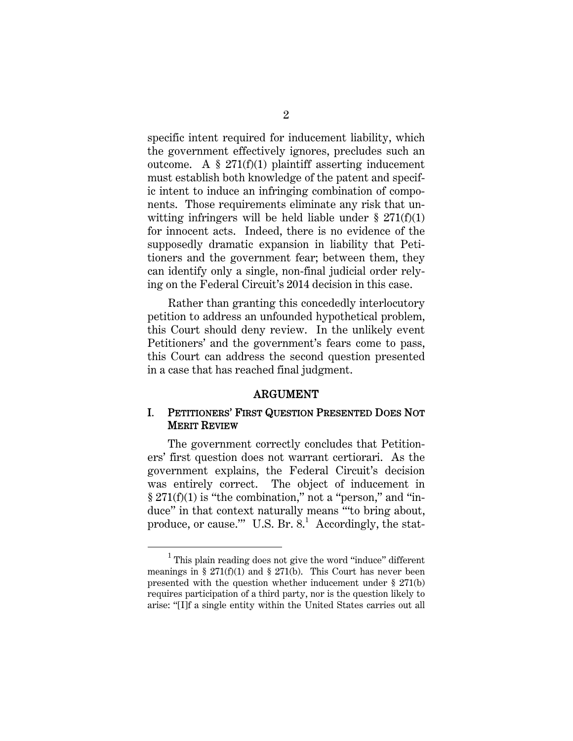specific intent required for inducement liability, which the government effectively ignores, precludes such an outcome. A  $\S 271(f)(1)$  plaintiff asserting inducement must establish both knowledge of the patent and specific intent to induce an infringing combination of components. Those requirements eliminate any risk that unwitting infringers will be held liable under  $\S 271(f)(1)$ for innocent acts. Indeed, there is no evidence of the supposedly dramatic expansion in liability that Petitioners and the government fear; between them, they can identify only a single, non-final judicial order relying on the Federal Circuit's 2014 decision in this case.

Rather than granting this concededly interlocutory petition to address an unfounded hypothetical problem, this Court should deny review. In the unlikely event Petitioners' and the government's fears come to pass, this Court can address the second question presented in a case that has reached final judgment.

#### ARGUMENT

#### I. PETITIONERS' FIRST QUESTION PRESENTED DOES NOT MERIT REVIEW

The government correctly concludes that Petitioners' first question does not warrant certiorari. As the government explains, the Federal Circuit's decision was entirely correct. The object of inducement in  $\S 271(f)(1)$  is "the combination," not a "person," and "induce" in that context naturally means "'to bring about, produce, or cause." U.S. Br. 8.<sup>1</sup> Accordingly, the stat-

<sup>1</sup>  $1$  This plain reading does not give the word "induce" different meanings in §  $271(f)(1)$  and §  $271(b)$ . This Court has never been presented with the question whether inducement under § 271(b) requires participation of a third party, nor is the question likely to arise: "[I]f a single entity within the United States carries out all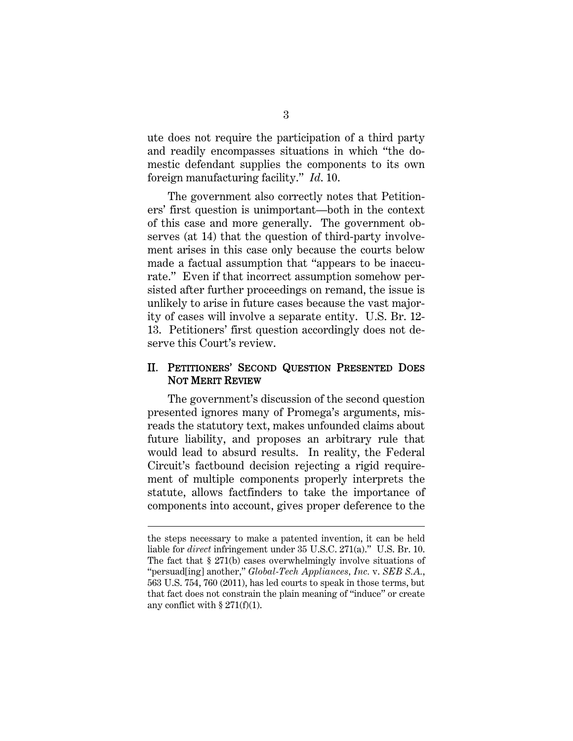ute does not require the participation of a third party and readily encompasses situations in which "the domestic defendant supplies the components to its own foreign manufacturing facility." *Id*. 10.

The government also correctly notes that Petitioners' first question is unimportant—both in the context of this case and more generally. The government observes (at 14) that the question of third-party involvement arises in this case only because the courts below made a factual assumption that "appears to be inaccurate." Even if that incorrect assumption somehow persisted after further proceedings on remand, the issue is unlikely to arise in future cases because the vast majority of cases will involve a separate entity. U.S. Br. 12- 13. Petitioners' first question accordingly does not deserve this Court's review.

#### II. PETITIONERS' SECOND QUESTION PRESENTED DOES NOT MERIT REVIEW

The government's discussion of the second question presented ignores many of Promega's arguments, misreads the statutory text, makes unfounded claims about future liability, and proposes an arbitrary rule that would lead to absurd results. In reality, the Federal Circuit's factbound decision rejecting a rigid requirement of multiple components properly interprets the statute, allows factfinders to take the importance of components into account, gives proper deference to the

 $\overline{a}$ 

the steps necessary to make a patented invention, it can be held liable for *direct* infringement under 35 U.S.C. 271(a)." U.S. Br. 10. The fact that § 271(b) cases overwhelmingly involve situations of "persuad[ing] another," *Global-Tech Appliances, Inc.* v. *SEB S.A.*, 563 U.S. 754, 760 (2011), has led courts to speak in those terms, but that fact does not constrain the plain meaning of "induce" or create any conflict with  $\S 271(f)(1)$ .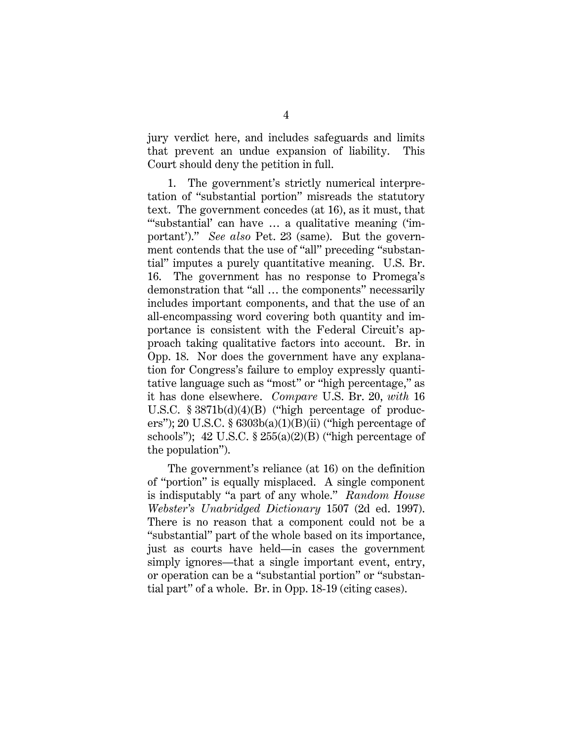jury verdict here, and includes safeguards and limits that prevent an undue expansion of liability. This Court should deny the petition in full.

1. The government's strictly numerical interpretation of "substantial portion" misreads the statutory text. The government concedes (at 16), as it must, that "'substantial' can have … a qualitative meaning ('important')." *See also* Pet. 23 (same). But the government contends that the use of "all" preceding "substantial" imputes a purely quantitative meaning. U.S. Br. 16. The government has no response to Promega's demonstration that "all … the components" necessarily includes important components, and that the use of an all-encompassing word covering both quantity and importance is consistent with the Federal Circuit's approach taking qualitative factors into account. Br. in Opp. 18. Nor does the government have any explanation for Congress's failure to employ expressly quantitative language such as "most" or "high percentage," as it has done elsewhere. *Compare* U.S. Br. 20, *with* 16 U.S.C. § 3871b(d)(4)(B) ("high percentage of producers"); 20 U.S.C.  $\S 6303b(a)(1)(B)(ii)$  ("high percentage of schools"); 42 U.S.C.  $\S 255(a)(2)(B)$  ("high percentage of the population").

The government's reliance (at 16) on the definition of "portion" is equally misplaced. A single component is indisputably "a part of any whole." *Random House Webster's Unabridged Dictionary* 1507 (2d ed. 1997). There is no reason that a component could not be a "substantial" part of the whole based on its importance, just as courts have held—in cases the government simply ignores—that a single important event, entry, or operation can be a "substantial portion" or "substantial part" of a whole. Br. in Opp. 18-19 (citing cases).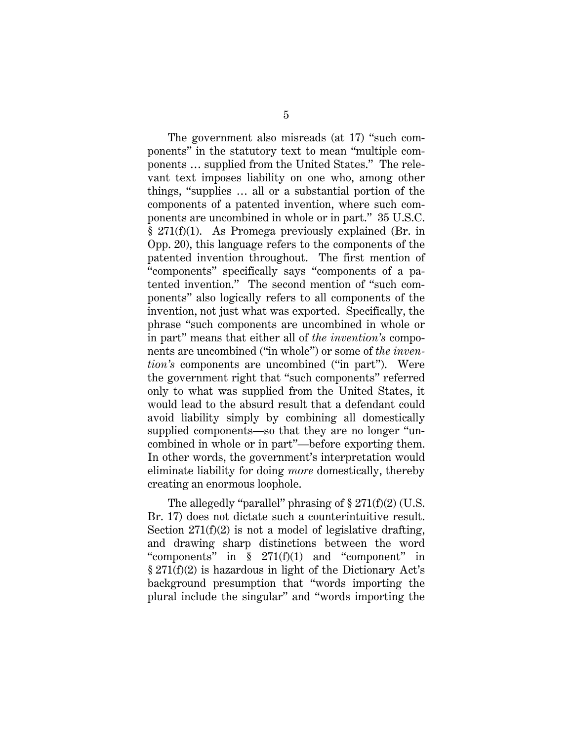The government also misreads (at 17) "such components" in the statutory text to mean "multiple components … supplied from the United States." The relevant text imposes liability on one who, among other things, "supplies … all or a substantial portion of the components of a patented invention, where such components are uncombined in whole or in part." 35 U.S.C. § 271(f)(1). As Promega previously explained (Br. in Opp. 20), this language refers to the components of the patented invention throughout. The first mention of "components" specifically says "components of a patented invention." The second mention of "such components" also logically refers to all components of the invention, not just what was exported. Specifically, the phrase "such components are uncombined in whole or in part" means that either all of *the invention's* components are uncombined ("in whole") or some of *the invention's* components are uncombined ("in part"). Were the government right that "such components" referred only to what was supplied from the United States, it would lead to the absurd result that a defendant could avoid liability simply by combining all domestically supplied components—so that they are no longer "uncombined in whole or in part"—before exporting them. In other words, the government's interpretation would eliminate liability for doing *more* domestically, thereby creating an enormous loophole.

The allegedly "parallel" phrasing of  $\S 271(f)(2)$  (U.S. Br. 17) does not dictate such a counterintuitive result. Section  $271(f)(2)$  is not a model of legislative drafting, and drawing sharp distinctions between the word "components" in § 271(f)(1) and "component" in § 271(f)(2) is hazardous in light of the Dictionary Act's background presumption that "words importing the plural include the singular" and "words importing the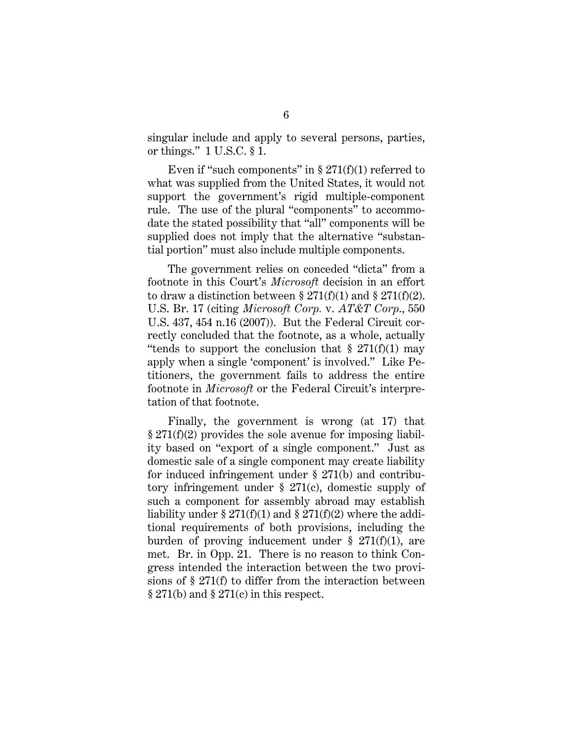singular include and apply to several persons, parties, or things." 1 U.S.C. § 1.

Even if "such components" in  $\S 271(f)(1)$  referred to what was supplied from the United States, it would not support the government's rigid multiple-component rule. The use of the plural "components" to accommodate the stated possibility that "all" components will be supplied does not imply that the alternative "substantial portion" must also include multiple components.

The government relies on conceded "dicta" from a footnote in this Court's *Microsoft* decision in an effort to draw a distinction between  $\S 271(f)(1)$  and  $\S 271(f)(2)$ . U.S. Br. 17 (citing *Microsoft Corp.* v. *AT&T Corp*., 550 U.S. 437, 454 n.16 (2007)). But the Federal Circuit correctly concluded that the footnote, as a whole, actually "tends to support the conclusion that  $\S 271(f)(1)$  may apply when a single 'component' is involved." Like Petitioners, the government fails to address the entire footnote in *Microsoft* or the Federal Circuit's interpretation of that footnote.

Finally, the government is wrong (at 17) that § 271(f)(2) provides the sole avenue for imposing liability based on "export of a single component." Just as domestic sale of a single component may create liability for induced infringement under § 271(b) and contributory infringement under  $\S$  271(c), domestic supply of such a component for assembly abroad may establish liability under  $\S 271(f)(1)$  and  $\S 271(f)(2)$  where the additional requirements of both provisions, including the burden of proving inducement under  $\S 271(f)(1)$ , are met. Br. in Opp. 21. There is no reason to think Congress intended the interaction between the two provisions of § 271(f) to differ from the interaction between § 271(b) and § 271(c) in this respect.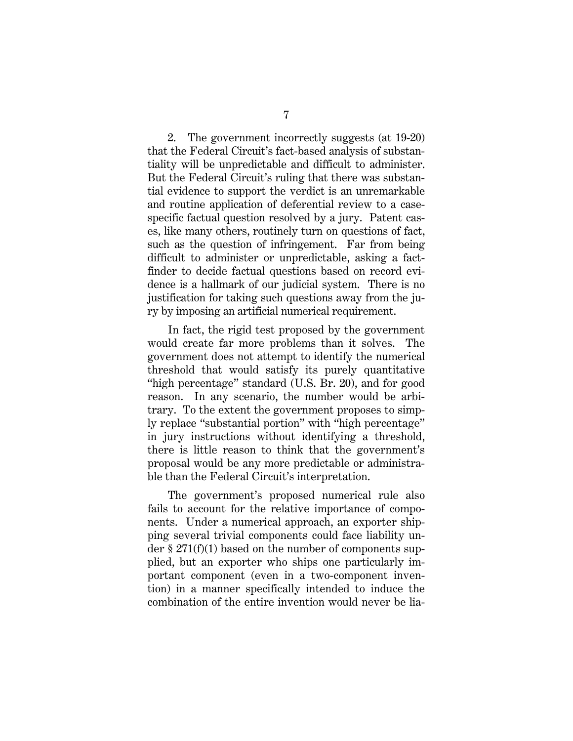2. The government incorrectly suggests (at 19-20) that the Federal Circuit's fact-based analysis of substantiality will be unpredictable and difficult to administer. But the Federal Circuit's ruling that there was substantial evidence to support the verdict is an unremarkable and routine application of deferential review to a casespecific factual question resolved by a jury. Patent cases, like many others, routinely turn on questions of fact, such as the question of infringement. Far from being difficult to administer or unpredictable, asking a factfinder to decide factual questions based on record evidence is a hallmark of our judicial system. There is no justification for taking such questions away from the jury by imposing an artificial numerical requirement.

In fact, the rigid test proposed by the government would create far more problems than it solves. The government does not attempt to identify the numerical threshold that would satisfy its purely quantitative "high percentage" standard (U.S. Br. 20), and for good reason. In any scenario, the number would be arbitrary. To the extent the government proposes to simply replace "substantial portion" with "high percentage" in jury instructions without identifying a threshold, there is little reason to think that the government's proposal would be any more predictable or administrable than the Federal Circuit's interpretation.

The government's proposed numerical rule also fails to account for the relative importance of components. Under a numerical approach, an exporter shipping several trivial components could face liability under  $\S 271(f)(1)$  based on the number of components supplied, but an exporter who ships one particularly important component (even in a two-component invention) in a manner specifically intended to induce the combination of the entire invention would never be lia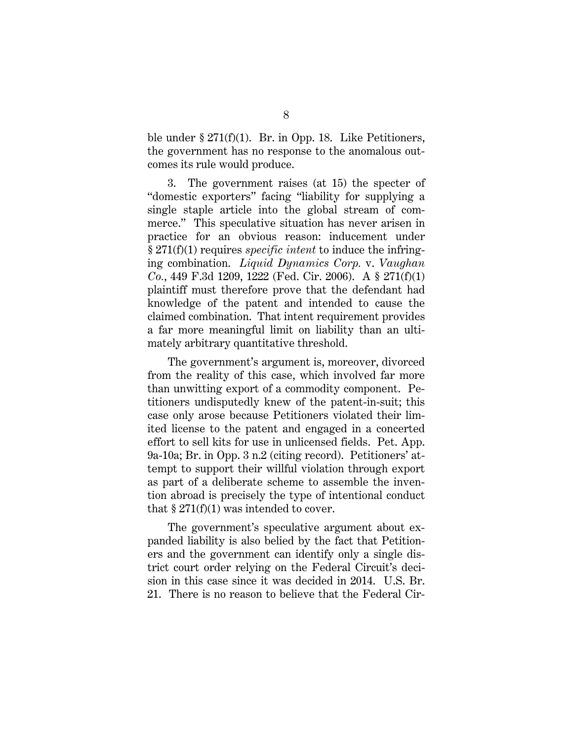ble under § 271(f)(1). Br. in Opp. 18. Like Petitioners, the government has no response to the anomalous outcomes its rule would produce.

3. The government raises (at 15) the specter of "domestic exporters" facing "liability for supplying a single staple article into the global stream of commerce." This speculative situation has never arisen in practice for an obvious reason: inducement under § 271(f)(1) requires *specific intent* to induce the infringing combination. *Liquid Dynamics Corp.* v. *Vaughan Co.*, 449 F.3d 1209, 1222 (Fed. Cir. 2006). A § 271(f)(1) plaintiff must therefore prove that the defendant had knowledge of the patent and intended to cause the claimed combination. That intent requirement provides a far more meaningful limit on liability than an ultimately arbitrary quantitative threshold.

The government's argument is, moreover, divorced from the reality of this case, which involved far more than unwitting export of a commodity component. Petitioners undisputedly knew of the patent-in-suit; this case only arose because Petitioners violated their limited license to the patent and engaged in a concerted effort to sell kits for use in unlicensed fields. Pet. App. 9a-10a; Br. in Opp. 3 n.2 (citing record). Petitioners' attempt to support their willful violation through export as part of a deliberate scheme to assemble the invention abroad is precisely the type of intentional conduct that  $\S 271(f)(1)$  was intended to cover.

The government's speculative argument about expanded liability is also belied by the fact that Petitioners and the government can identify only a single district court order relying on the Federal Circuit's decision in this case since it was decided in 2014. U.S. Br. 21. There is no reason to believe that the Federal Cir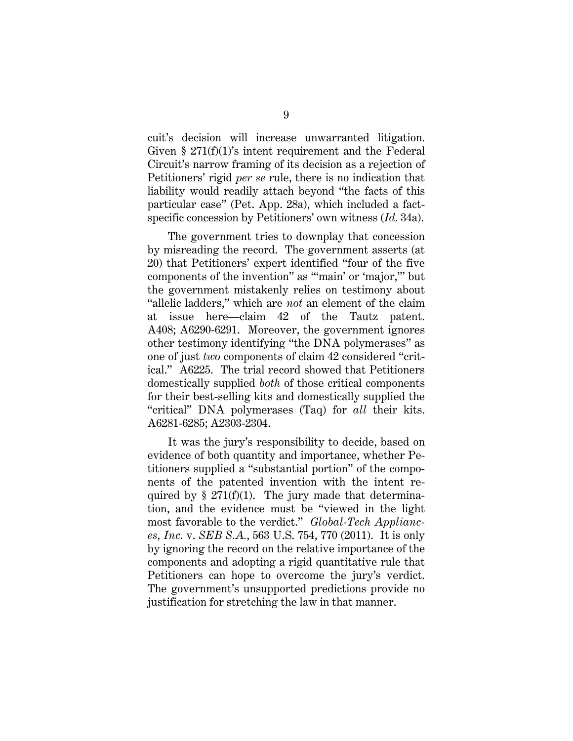cuit's decision will increase unwarranted litigation. Given § 271(f)(1)'s intent requirement and the Federal Circuit's narrow framing of its decision as a rejection of Petitioners' rigid *per se* rule, there is no indication that liability would readily attach beyond "the facts of this particular case" (Pet. App. 28a), which included a factspecific concession by Petitioners' own witness (*Id.* 34a).

The government tries to downplay that concession by misreading the record. The government asserts (at 20) that Petitioners' expert identified "four of the five components of the invention" as "'main' or 'major,'" but the government mistakenly relies on testimony about "allelic ladders," which are *not* an element of the claim at issue here—claim 42 of the Tautz patent. A408; A6290-6291. Moreover, the government ignores other testimony identifying "the DNA polymerases" as one of just *two* components of claim 42 considered "critical." A6225. The trial record showed that Petitioners domestically supplied *both* of those critical components for their best-selling kits and domestically supplied the "critical" DNA polymerases (Taq) for *all* their kits. A6281-6285; A2303-2304.

It was the jury's responsibility to decide, based on evidence of both quantity and importance, whether Petitioners supplied a "substantial portion" of the components of the patented invention with the intent required by  $\S 271(f)(1)$ . The jury made that determination, and the evidence must be "viewed in the light most favorable to the verdict." *Global-Tech Appliances, Inc.* v. *SEB S.A.*, 563 U.S. 754, 770 (2011). It is only by ignoring the record on the relative importance of the components and adopting a rigid quantitative rule that Petitioners can hope to overcome the jury's verdict. The government's unsupported predictions provide no justification for stretching the law in that manner.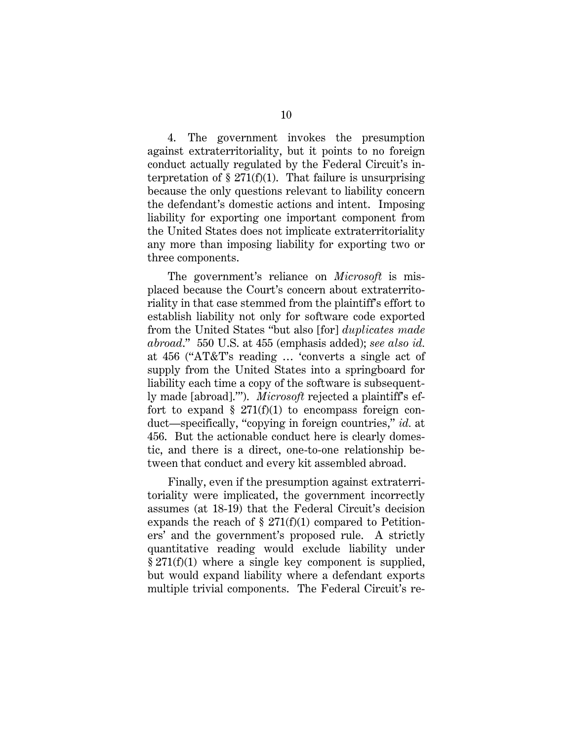4. The government invokes the presumption against extraterritoriality, but it points to no foreign conduct actually regulated by the Federal Circuit's interpretation of  $\S 271(f)(1)$ . That failure is unsurprising because the only questions relevant to liability concern the defendant's domestic actions and intent. Imposing liability for exporting one important component from the United States does not implicate extraterritoriality any more than imposing liability for exporting two or three components.

The government's reliance on *Microsoft* is misplaced because the Court's concern about extraterritoriality in that case stemmed from the plaintiff's effort to establish liability not only for software code exported from the United States "but also [for] *duplicates made abroad*." 550 U.S. at 455 (emphasis added); *see also id.*  at 456 ("AT&T's reading … 'converts a single act of supply from the United States into a springboard for liability each time a copy of the software is subsequently made [abroad].'"). *Microsoft* rejected a plaintiff's effort to expand  $\S$  271(f)(1) to encompass foreign conduct—specifically, "copying in foreign countries," *id.* at 456. But the actionable conduct here is clearly domestic, and there is a direct, one-to-one relationship between that conduct and every kit assembled abroad.

Finally, even if the presumption against extraterritoriality were implicated, the government incorrectly assumes (at 18-19) that the Federal Circuit's decision expands the reach of § 271(f)(1) compared to Petitioners' and the government's proposed rule. A strictly quantitative reading would exclude liability under § 271(f)(1) where a single key component is supplied, but would expand liability where a defendant exports multiple trivial components. The Federal Circuit's re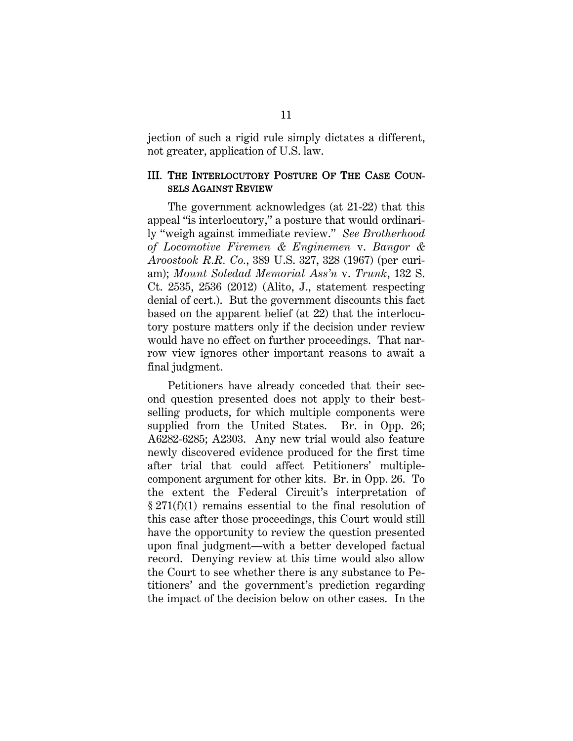jection of such a rigid rule simply dictates a different, not greater, application of U.S. law.

#### III. THE INTERLOCUTORY POSTURE OF THE CASE COUN-SELS AGAINST REVIEW

The government acknowledges (at 21-22) that this appeal "is interlocutory," a posture that would ordinarily "weigh against immediate review." *See Brotherhood of Locomotive Firemen & Enginemen* v. *Bangor & Aroostook R.R. Co.*, 389 U.S. 327, 328 (1967) (per curiam); *Mount Soledad Memorial Ass'n* v. *Trunk*, 132 S. Ct. 2535, 2536 (2012) (Alito, J., statement respecting denial of cert.). But the government discounts this fact based on the apparent belief (at 22) that the interlocutory posture matters only if the decision under review would have no effect on further proceedings. That narrow view ignores other important reasons to await a final judgment.

Petitioners have already conceded that their second question presented does not apply to their bestselling products, for which multiple components were supplied from the United States. Br. in Opp. 26; A6282-6285; A2303. Any new trial would also feature newly discovered evidence produced for the first time after trial that could affect Petitioners' multiplecomponent argument for other kits. Br. in Opp. 26. To the extent the Federal Circuit's interpretation of § 271(f)(1) remains essential to the final resolution of this case after those proceedings, this Court would still have the opportunity to review the question presented upon final judgment—with a better developed factual record. Denying review at this time would also allow the Court to see whether there is any substance to Petitioners' and the government's prediction regarding the impact of the decision below on other cases. In the